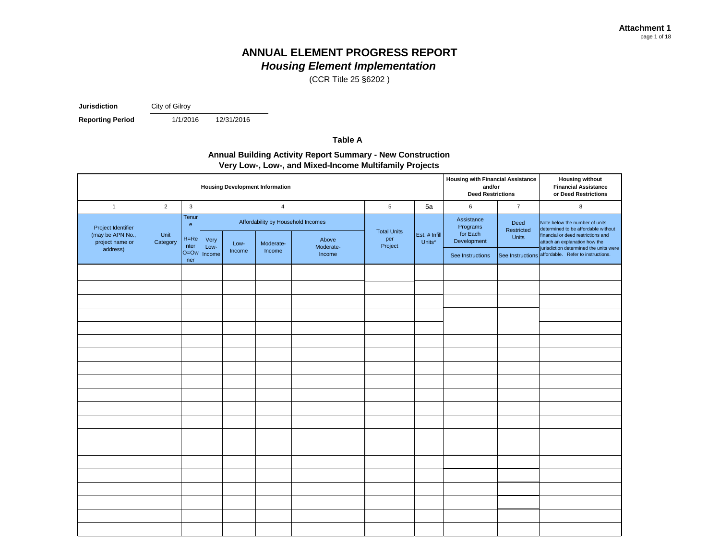(CCR Title 25 §6202 )

**Jurisdiction** City of Gilroy

**Reporting Period** 1/1/2016

12/31/2016

**Table A**

#### **Annual Building Activity Report Summary - New Construction Very Low-, Low-, and Mixed-Income Multifamily Projects**

|                                                           | <b>Housing Development Information</b> |                                    |                |                                                 |                     |                                     |               |                                                   |                             | <b>Housing without</b><br><b>Financial Assistance</b><br>or Deed Restrictions                                                                |
|-----------------------------------------------------------|----------------------------------------|------------------------------------|----------------|-------------------------------------------------|---------------------|-------------------------------------|---------------|---------------------------------------------------|-----------------------------|----------------------------------------------------------------------------------------------------------------------------------------------|
| $\mathbf{1}$                                              | $\overline{2}$                         | $\mathbf{3}$                       | $\overline{4}$ |                                                 |                     |                                     | 5a            | 6                                                 | $\overline{7}$              | 8                                                                                                                                            |
| Project Identifier<br>(may be APN No.,<br>project name or | Unit<br>Category                       | Tenur<br>$\mathbf{e}$<br>R=Re Very | Low-           | Affordability by Household Incomes<br>Moderate- | Above               | <b>Total Units</b><br>per<br>Units* | Est. # Infill | Assistance<br>Programs<br>for Each<br>Development | Deed<br>Restricted<br>Units | Note below the number of units<br>determined to be affordable without<br>financial or deed restrictions and<br>attach an explanation how the |
| address)                                                  |                                        | nter<br>Low-<br>O=Ow Income<br>ner | Income         | Income                                          | Moderate-<br>Income | Project                             |               | See Instructions                                  |                             | jurisdiction determined the units were<br>See Instructions affordable. Refer to instructions.                                                |
|                                                           |                                        |                                    |                |                                                 |                     |                                     |               |                                                   |                             |                                                                                                                                              |
|                                                           |                                        |                                    |                |                                                 |                     |                                     |               |                                                   |                             |                                                                                                                                              |
|                                                           |                                        |                                    |                |                                                 |                     |                                     |               |                                                   |                             |                                                                                                                                              |
|                                                           |                                        |                                    |                |                                                 |                     |                                     |               |                                                   |                             |                                                                                                                                              |
|                                                           |                                        |                                    |                |                                                 |                     |                                     |               |                                                   |                             |                                                                                                                                              |
|                                                           |                                        |                                    |                |                                                 |                     |                                     |               |                                                   |                             |                                                                                                                                              |
|                                                           |                                        |                                    |                |                                                 |                     |                                     |               |                                                   |                             |                                                                                                                                              |
|                                                           |                                        |                                    |                |                                                 |                     |                                     |               |                                                   |                             |                                                                                                                                              |
|                                                           |                                        |                                    |                |                                                 |                     |                                     |               |                                                   |                             |                                                                                                                                              |
|                                                           |                                        |                                    |                |                                                 |                     |                                     |               |                                                   |                             |                                                                                                                                              |
|                                                           |                                        |                                    |                |                                                 |                     |                                     |               |                                                   |                             |                                                                                                                                              |
|                                                           |                                        |                                    |                |                                                 |                     |                                     |               |                                                   |                             |                                                                                                                                              |
|                                                           |                                        |                                    |                |                                                 |                     |                                     |               |                                                   |                             |                                                                                                                                              |
|                                                           |                                        |                                    |                |                                                 |                     |                                     |               |                                                   |                             |                                                                                                                                              |
|                                                           |                                        |                                    |                |                                                 |                     |                                     |               |                                                   |                             |                                                                                                                                              |
|                                                           |                                        |                                    |                |                                                 |                     |                                     |               |                                                   |                             |                                                                                                                                              |
|                                                           |                                        |                                    |                |                                                 |                     |                                     |               |                                                   |                             |                                                                                                                                              |
|                                                           |                                        |                                    |                |                                                 |                     |                                     |               |                                                   |                             |                                                                                                                                              |
|                                                           |                                        |                                    |                |                                                 |                     |                                     |               |                                                   |                             |                                                                                                                                              |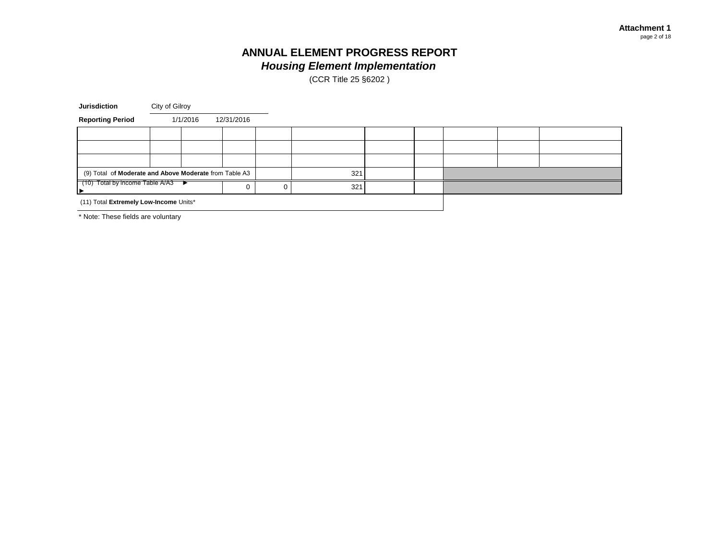(CCR Title 25 §6202 )

| <b>Jurisdiction</b>                                    | City of Gilroy |          |            |  |     |  |  |  |  |
|--------------------------------------------------------|----------------|----------|------------|--|-----|--|--|--|--|
| <b>Reporting Period</b>                                |                | 1/1/2016 | 12/31/2016 |  |     |  |  |  |  |
|                                                        |                |          |            |  |     |  |  |  |  |
|                                                        |                |          |            |  |     |  |  |  |  |
|                                                        |                |          |            |  |     |  |  |  |  |
| (9) Total of Moderate and Above Moderate from Table A3 |                |          |            |  | 321 |  |  |  |  |
| $(10)$ Total by income Table A/A3                      |                |          |            |  | 321 |  |  |  |  |
| (11) Total Extremely Low-Income Units*                 |                |          |            |  |     |  |  |  |  |

\* Note: These fields are voluntary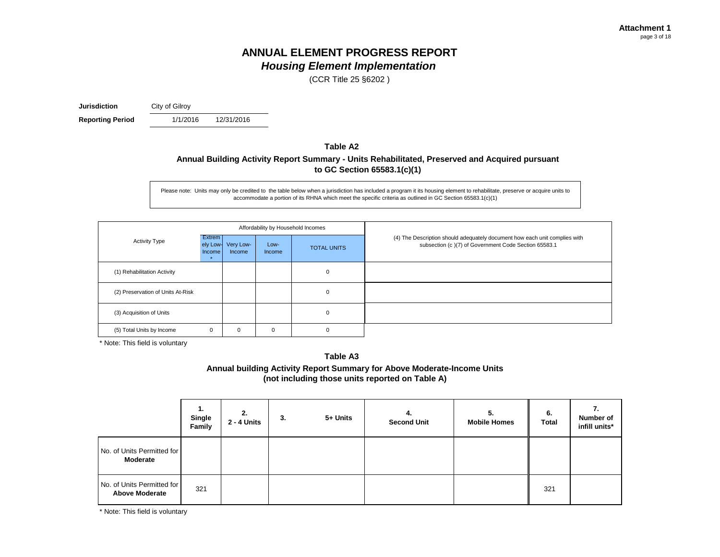(CCR Title 25 §6202 )

**Jurisdiction** City of Gilroy

**Reporting Period** 1/1/2016

12/31/2016

#### **Table A2**

#### **Annual Building Activity Report Summary - Units Rehabilitated, Preserved and Acquired pursuant to GC Section 65583.1(c)(1)**

Please note: Units may only be credited to the table below when a jurisdiction has included a program it its housing element to rehabilitate, preserve or acquire units to accommodate a portion of its RHNA which meet the specific criteria as outlined in GC Section 65583.1(c)(1)

|                                   |                                     |                     | Affordability by Household Incomes |                    |                                                                                                                                    |
|-----------------------------------|-------------------------------------|---------------------|------------------------------------|--------------------|------------------------------------------------------------------------------------------------------------------------------------|
| <b>Activity Type</b>              | <b>Extrem</b><br>ely Low-<br>Income | Very Low-<br>Income | Low-<br>Income                     | <b>TOTAL UNITS</b> | (4) The Description should adequately document how each unit complies with<br>subsection (c)(7) of Government Code Section 65583.1 |
| (1) Rehabilitation Activity       |                                     |                     |                                    | 0                  |                                                                                                                                    |
| (2) Preservation of Units At-Risk |                                     |                     |                                    | $\mathbf 0$        |                                                                                                                                    |
| (3) Acquisition of Units          |                                     |                     |                                    | 0                  |                                                                                                                                    |
| (5) Total Units by Income         | 0                                   | 0                   | 0                                  | C                  |                                                                                                                                    |

\* Note: This field is voluntary

**Table A3 Annual building Activity Report Summary for Above Moderate-Income Units (not including those units reported on Table A)**

|                                                     | 1.<br>Single<br>Family | 2.<br>2 - 4 Units | 3. | 5+ Units | 4.<br><b>Second Unit</b> | 5.<br><b>Mobile Homes</b> | 6.<br><b>Total</b> | Number of<br>infill units* |
|-----------------------------------------------------|------------------------|-------------------|----|----------|--------------------------|---------------------------|--------------------|----------------------------|
| No. of Units Permitted for<br>Moderate              |                        |                   |    |          |                          |                           |                    |                            |
| No. of Units Permitted for<br><b>Above Moderate</b> | 321                    |                   |    |          |                          |                           | 321                |                            |

\* Note: This field is voluntary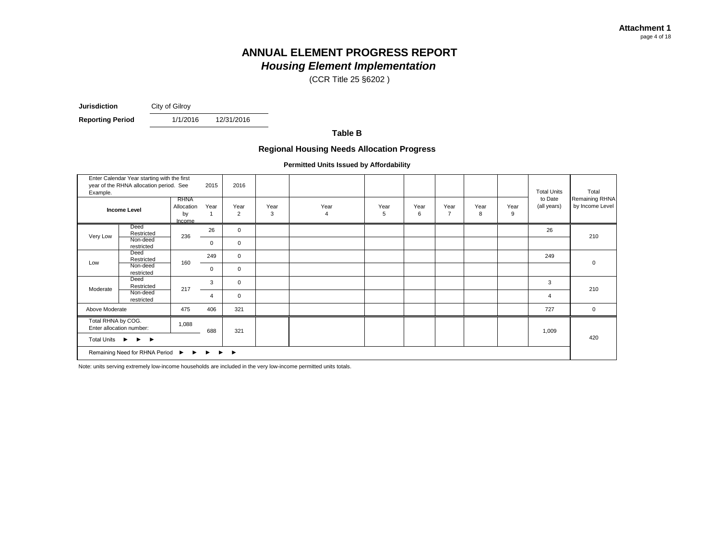(CCR Title 25 §6202 )

**Jurisdiction** City of Gilroy

**Reporting Period** 1/1/2016

12/31/2016

**Table B**

#### **Regional Housing Needs Allocation Progress**

**Permitted Units Issued by Affordability**

| Example.                                 | Enter Calendar Year starting with the first<br>year of the RHNA allocation period. See |                                    | 2015     | 2016        |           |           |           |           |                        |           |           | <b>Total Units</b>     | Total                             |
|------------------------------------------|----------------------------------------------------------------------------------------|------------------------------------|----------|-------------|-----------|-----------|-----------|-----------|------------------------|-----------|-----------|------------------------|-----------------------------------|
|                                          | <b>Income Level</b>                                                                    | RHNA<br>Allocation<br>by<br>Income | Year     | Year<br>2   | Year<br>3 | Year<br>4 | Year<br>5 | Year<br>6 | Year<br>$\overline{7}$ | Year<br>8 | Year<br>9 | to Date<br>(all years) | Remaining RHNA<br>by Income Level |
|                                          | Deed<br>Restricted                                                                     |                                    | 26       | $\mathbf 0$ |           |           |           |           |                        |           |           | 26                     |                                   |
| Very Low                                 | Non-deed<br>restricted                                                                 | 236                                | 0        | $\mathbf 0$ |           |           |           |           |                        |           |           |                        | 210                               |
|                                          | Deed<br>Restricted                                                                     |                                    | 249      | $\mathsf 0$ |           |           |           |           |                        |           |           | 249                    |                                   |
| Low                                      | Non-deed<br>restricted                                                                 | 160                                | $\Omega$ | $\mathbf 0$ |           |           |           |           |                        |           |           |                        | $\mathbf 0$                       |
|                                          | Deed<br>Restricted                                                                     |                                    | 3        | $\mathbf 0$ |           |           |           |           |                        |           |           | 3                      |                                   |
| Moderate                                 | Non-deed<br>restricted                                                                 | 217                                | 4        | $\mathsf 0$ |           |           |           |           |                        |           |           | $\overline{4}$         | 210                               |
| Above Moderate                           |                                                                                        | 475                                | 406      | 321         |           |           |           |           |                        |           |           | 727                    | $\mathbf{0}$                      |
| Total RHNA by COG.                       | Enter allocation number:                                                               | 1,088                              | 688      | 321         |           |           |           |           |                        |           |           | 1,009                  |                                   |
| Total Units ▶                            | $\blacktriangleright$ $\blacktriangleright$                                            |                                    |          |             |           |           |           |           |                        |           |           |                        | 420                               |
| Remaining Need for RHNA Period ▶ ▶ ▶ ▶ ▶ |                                                                                        |                                    |          |             |           |           |           |           |                        |           |           |                        |                                   |

Note: units serving extremely low-income households are included in the very low-income permitted units totals.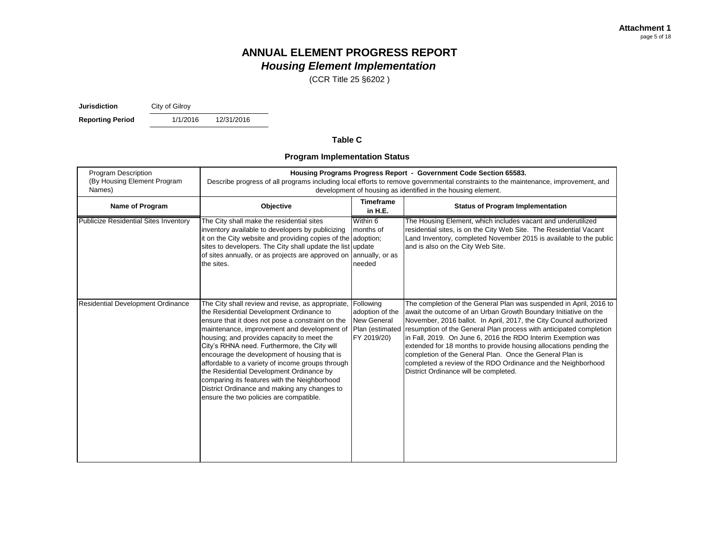(CCR Title 25 §6202 )

**Jurisdiction** City of Gilroy

**Reporting Period** 1/1/2016

12/31/2016

#### **Table C**

#### **Program Implementation Status**

| <b>Program Description</b><br>(By Housing Element Program<br>Names) | Housing Programs Progress Report - Government Code Section 65583.<br>Describe progress of all programs including local efforts to remove governmental constraints to the maintenance, improvement, and<br>development of housing as identified in the housing element.                                                                                                                                                                                                                                                                                                                    |                                                                               |                                                                                                                                                                                                                                                                                                                                                                                                                                                                                                                                                                                             |  |  |  |  |
|---------------------------------------------------------------------|-------------------------------------------------------------------------------------------------------------------------------------------------------------------------------------------------------------------------------------------------------------------------------------------------------------------------------------------------------------------------------------------------------------------------------------------------------------------------------------------------------------------------------------------------------------------------------------------|-------------------------------------------------------------------------------|---------------------------------------------------------------------------------------------------------------------------------------------------------------------------------------------------------------------------------------------------------------------------------------------------------------------------------------------------------------------------------------------------------------------------------------------------------------------------------------------------------------------------------------------------------------------------------------------|--|--|--|--|
| Name of Program                                                     | Objective                                                                                                                                                                                                                                                                                                                                                                                                                                                                                                                                                                                 | <b>Timeframe</b><br>in H.E.                                                   | <b>Status of Program Implementation</b>                                                                                                                                                                                                                                                                                                                                                                                                                                                                                                                                                     |  |  |  |  |
| <b>Publicize Residential Sites Inventory</b>                        | The City shall make the residential sites<br>inventory available to developers by publicizing<br>it on the City website and providing copies of the adoption;<br>sites to developers. The City shall update the list update<br>of sites annually, or as projects are approved on annually, or as<br>the sites.                                                                                                                                                                                                                                                                            | Within 6<br>months of<br>needed                                               | The Housing Element, which includes vacant and underutilized<br>residential sites, is on the City Web Site. The Residential Vacant<br>Land Inventory, completed November 2015 is available to the public<br>and is also on the City Web Site.                                                                                                                                                                                                                                                                                                                                               |  |  |  |  |
| <b>Residential Development Ordinance</b>                            | The City shall review and revise, as appropriate,<br>the Residential Development Ordinance to<br>ensure that it does not pose a constraint on the<br>maintenance, improvement and development of<br>housing; and provides capacity to meet the<br>City's RHNA need. Furthermore, the City will<br>encourage the development of housing that is<br>affordable to a variety of income groups through<br>the Residential Development Ordinance by<br>comparing its features with the Neighborhood<br>District Ordinance and making any changes to<br>ensure the two policies are compatible. | Following<br>adoption of the<br>New General<br>Plan (estimated<br>FY 2019/20) | The completion of the General Plan was suspended in April, 2016 to<br>await the outcome of an Urban Growth Boundary Initiative on the<br>November, 2016 ballot. In April, 2017, the City Council authorized<br>resumption of the General Plan process with anticipated completion<br>in Fall, 2019. On June 6, 2016 the RDO Interim Exemption was<br>extended for 18 months to provide housing allocations pending the<br>completion of the General Plan. Once the General Plan is<br>completed a review of the RDO Ordinance and the Neighborhood<br>District Ordinance will be completed. |  |  |  |  |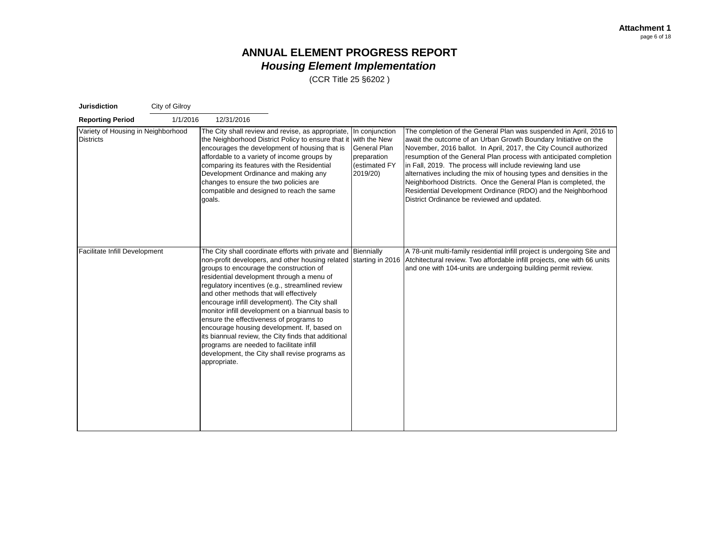| <b>Jurisdiction</b>                                    | City of Gilroy |                                                                                                                                                                                                                                                                                                                                                                                                                                                                                                                                                                                                                                                                              |                                                                            |                                                                                                                                                                                                                                                                                                                                                                                                                                                                                                                                                                                                           |
|--------------------------------------------------------|----------------|------------------------------------------------------------------------------------------------------------------------------------------------------------------------------------------------------------------------------------------------------------------------------------------------------------------------------------------------------------------------------------------------------------------------------------------------------------------------------------------------------------------------------------------------------------------------------------------------------------------------------------------------------------------------------|----------------------------------------------------------------------------|-----------------------------------------------------------------------------------------------------------------------------------------------------------------------------------------------------------------------------------------------------------------------------------------------------------------------------------------------------------------------------------------------------------------------------------------------------------------------------------------------------------------------------------------------------------------------------------------------------------|
| <b>Reporting Period</b>                                | 1/1/2016       | 12/31/2016                                                                                                                                                                                                                                                                                                                                                                                                                                                                                                                                                                                                                                                                   |                                                                            |                                                                                                                                                                                                                                                                                                                                                                                                                                                                                                                                                                                                           |
| Variety of Housing in Neighborhood<br><b>Districts</b> |                | The City shall review and revise, as appropriate,<br>the Neighborhood District Policy to ensure that it with the New<br>encourages the development of housing that is<br>affordable to a variety of income groups by<br>comparing its features with the Residential<br>Development Ordinance and making any<br>changes to ensure the two policies are<br>compatible and designed to reach the same<br>goals.                                                                                                                                                                                                                                                                 | In conjunction<br>General Plan<br>preparation<br>(estimated FY<br>2019/20) | The completion of the General Plan was suspended in April, 2016 to<br>await the outcome of an Urban Growth Boundary Initiative on the<br>November, 2016 ballot. In April, 2017, the City Council authorized<br>resumption of the General Plan process with anticipated completion<br>in Fall, 2019. The process will include reviewing land use<br>alternatives including the mix of housing types and densities in the<br>Neighborhood Districts. Once the General Plan is completed, the<br>Residential Development Ordinance (RDO) and the Neighborhood<br>District Ordinance be reviewed and updated. |
| Facilitate Infill Development                          |                | The City shall coordinate efforts with private and Biennially<br>non-profit developers, and other housing related<br>groups to encourage the construction of<br>residential development through a menu of<br>regulatory incentives (e.g., streamlined review<br>and other methods that will effectively<br>encourage infill development). The City shall<br>monitor infill development on a biannual basis to<br>ensure the effectiveness of programs to<br>encourage housing development. If, based on<br>its biannual review, the City finds that additional<br>programs are needed to facilitate infill<br>development, the City shall revise programs as<br>appropriate. | starting in 2016                                                           | A 78-unit multi-family residential infill project is undergoing Site and<br>Atchitectural review. Two affordable infill projects, one with 66 units<br>and one with 104-units are undergoing building permit review.                                                                                                                                                                                                                                                                                                                                                                                      |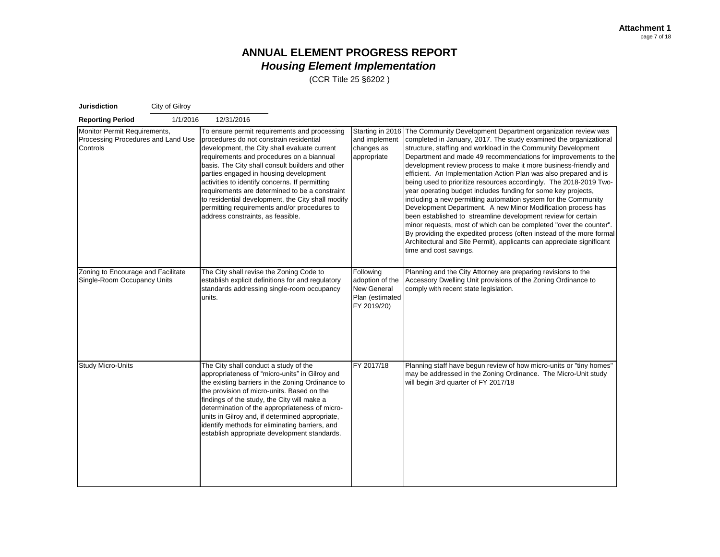| <b>Jurisdiction</b>                                                            | City of Gilroy |                                                                                                                                                                                                                       |                                                                                                                                                                                                                                                                                                           |                                                                                      |                                                                                                                                                                                                                                                                                                                                                                                                                                                                                                                                                                                                                                                                                                                                                                                                                                                                                                                                                                                                          |
|--------------------------------------------------------------------------------|----------------|-----------------------------------------------------------------------------------------------------------------------------------------------------------------------------------------------------------------------|-----------------------------------------------------------------------------------------------------------------------------------------------------------------------------------------------------------------------------------------------------------------------------------------------------------|--------------------------------------------------------------------------------------|----------------------------------------------------------------------------------------------------------------------------------------------------------------------------------------------------------------------------------------------------------------------------------------------------------------------------------------------------------------------------------------------------------------------------------------------------------------------------------------------------------------------------------------------------------------------------------------------------------------------------------------------------------------------------------------------------------------------------------------------------------------------------------------------------------------------------------------------------------------------------------------------------------------------------------------------------------------------------------------------------------|
| <b>Reporting Period</b>                                                        | 1/1/2016       | 12/31/2016                                                                                                                                                                                                            |                                                                                                                                                                                                                                                                                                           |                                                                                      |                                                                                                                                                                                                                                                                                                                                                                                                                                                                                                                                                                                                                                                                                                                                                                                                                                                                                                                                                                                                          |
| Monitor Permit Requirements,<br>Processing Procedures and Land Use<br>Controls |                | procedures do not constrain residential<br>requirements and procedures on a biannual<br>parties engaged in housing development<br>activities to identify concerns. If permitting<br>address constraints, as feasible. | To ensure permit requirements and processing<br>development, the City shall evaluate current<br>basis. The City shall consult builders and other<br>requirements are determined to be a constraint<br>to residential development, the City shall modify<br>permitting requirements and/or procedures to   | Starting in 2016<br>and implement<br>changes as<br>appropriate                       | The Community Development Department organization review was<br>completed in January, 2017. The study examined the organizational<br>structure, staffing and workload in the Community Development<br>Department and made 49 recommendations for improvements to the<br>development review process to make it more business-friendly and<br>efficient. An Implementation Action Plan was also prepared and is<br>being used to prioritize resources accordingly. The 2018-2019 Two-<br>year operating budget includes funding for some key projects,<br>including a new permitting automation system for the Community<br>Development Department. A new Minor Modification process has<br>been established to streamline development review for certain<br>minor requests, most of which can be completed "over the counter".<br>By providing the expedited process (often instead of the more formal<br>Architectural and Site Permit), applicants can appreciate significant<br>time and cost savings. |
| Zoning to Encourage and Facilitate<br>Single-Room Occupancy Units              |                | The City shall revise the Zoning Code to<br>units.                                                                                                                                                                    | establish explicit definitions for and regulatory<br>standards addressing single-room occupancy                                                                                                                                                                                                           | Following<br>adoption of the<br><b>New General</b><br>Plan (estimated<br>FY 2019/20) | Planning and the City Attorney are preparing revisions to the<br>Accessory Dwelling Unit provisions of the Zoning Ordinance to<br>comply with recent state legislation.                                                                                                                                                                                                                                                                                                                                                                                                                                                                                                                                                                                                                                                                                                                                                                                                                                  |
| <b>Study Micro-Units</b>                                                       |                | The City shall conduct a study of the<br>the provision of micro-units. Based on the<br>findings of the study, the City will make a                                                                                    | appropriateness of "micro-units" in Gilroy and<br>the existing barriers in the Zoning Ordinance to<br>determination of the appropriateness of micro-<br>units in Gilroy and, if determined appropriate,<br>identify methods for eliminating barriers, and<br>establish appropriate development standards. | FY 2017/18                                                                           | Planning staff have begun review of how micro-units or "tiny homes"<br>may be addressed in the Zoning Ordinance. The Micro-Unit study<br>will begin 3rd quarter of FY 2017/18                                                                                                                                                                                                                                                                                                                                                                                                                                                                                                                                                                                                                                                                                                                                                                                                                            |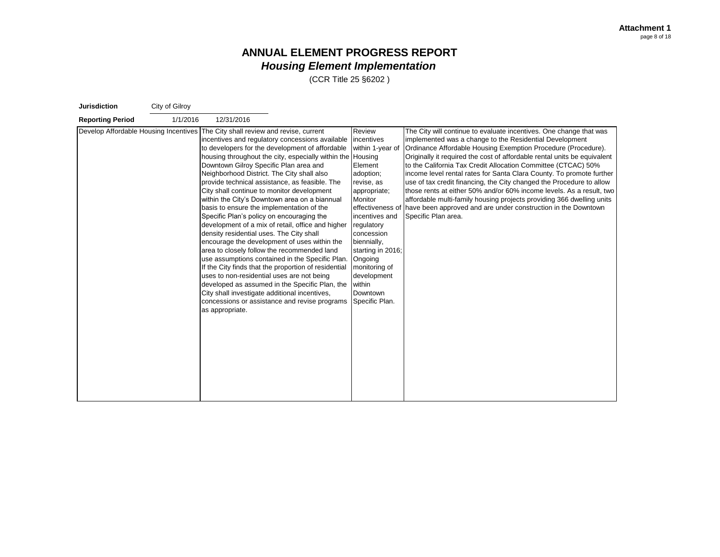| <b>Jurisdiction</b>     | City of Gilroy |                                                                                                                                                                                                                                                                                                                                                                                                                                                                               |                                                                                                                                                                                                                                                                                                                                                                                                                                                                                                                                                                                                                                                  |                                                                                                                                                                                                                                                                  |                                                                                                                                                                                                                                                                                                                                                                                                                                                                                                                                                                                                                                                                                                                                                       |
|-------------------------|----------------|-------------------------------------------------------------------------------------------------------------------------------------------------------------------------------------------------------------------------------------------------------------------------------------------------------------------------------------------------------------------------------------------------------------------------------------------------------------------------------|--------------------------------------------------------------------------------------------------------------------------------------------------------------------------------------------------------------------------------------------------------------------------------------------------------------------------------------------------------------------------------------------------------------------------------------------------------------------------------------------------------------------------------------------------------------------------------------------------------------------------------------------------|------------------------------------------------------------------------------------------------------------------------------------------------------------------------------------------------------------------------------------------------------------------|-------------------------------------------------------------------------------------------------------------------------------------------------------------------------------------------------------------------------------------------------------------------------------------------------------------------------------------------------------------------------------------------------------------------------------------------------------------------------------------------------------------------------------------------------------------------------------------------------------------------------------------------------------------------------------------------------------------------------------------------------------|
| <b>Reporting Period</b> | 1/1/2016       | 12/31/2016                                                                                                                                                                                                                                                                                                                                                                                                                                                                    |                                                                                                                                                                                                                                                                                                                                                                                                                                                                                                                                                                                                                                                  |                                                                                                                                                                                                                                                                  |                                                                                                                                                                                                                                                                                                                                                                                                                                                                                                                                                                                                                                                                                                                                                       |
|                         |                | Develop Affordable Housing Incentives The City shall review and revise, current<br>Downtown Gilroy Specific Plan area and<br>Neighborhood District. The City shall also<br>City shall continue to monitor development<br>basis to ensure the implementation of the<br>Specific Plan's policy on encouraging the<br>density residential uses. The City shall<br>uses to non-residential uses are not being<br>City shall investigate additional incentives,<br>as appropriate. | incentives and regulatory concessions available incentives<br>to developers for the development of affordable<br>housing throughout the city, especially within the Housing<br>provide technical assistance, as feasible. The<br>within the City's Downtown area on a biannual<br>development of a mix of retail, office and higher<br>encourage the development of uses within the<br>area to closely follow the recommended land<br>use assumptions contained in the Specific Plan.<br>If the City finds that the proportion of residential<br>developed as assumed in the Specific Plan, the<br>concessions or assistance and revise programs | Review<br>within 1-year of<br>Element<br>adoption;<br>revise, as<br>appropriate;<br>Monitor<br>incentives and<br>regulatory<br>concession<br>biennially,<br>starting in 2016;<br>Ongoing<br>monitoring of<br>development<br>within<br>Downtown<br>Specific Plan. | The City will continue to evaluate incentives. One change that was<br>implemented was a change to the Residential Development<br>Ordinance Affordable Housing Exemption Procedure (Procedure).<br>Originally it required the cost of affordable rental units be equivalent<br>to the California Tax Credit Allocation Committee (CTCAC) 50%<br>income level rental rates for Santa Clara County. To promote further<br>use of tax credit financing, the City changed the Procedure to allow<br>those rents at either 50% and/or 60% income levels. As a result, two<br>affordable multi-family housing projects providing 366 dwelling units<br>effectiveness of have been approved and are under construction in the Downtown<br>Specific Plan area. |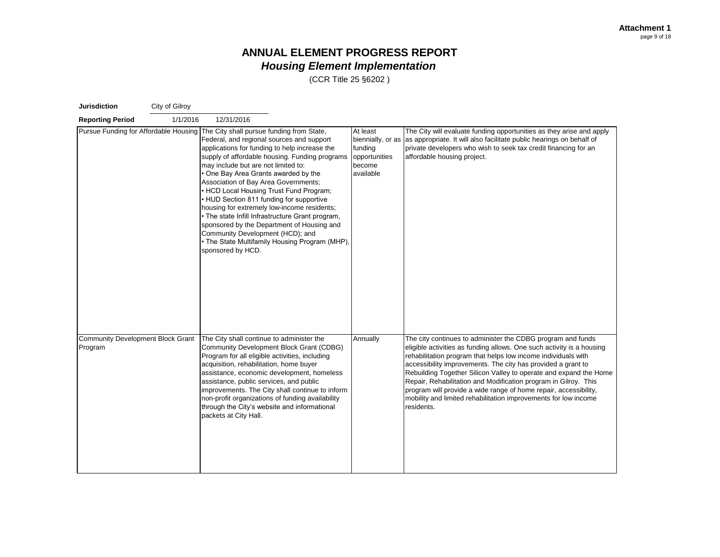| <b>Jurisdiction</b>                                 | City of Gilroy |                                                                                                                                                                                                                                                                                                                                                                                                                                                                                                                                                                                                                                                                                                         |                                                                                  |                                                                                                                                                                                                                                                                                                                                                                                                                                                                                                                                                                    |
|-----------------------------------------------------|----------------|---------------------------------------------------------------------------------------------------------------------------------------------------------------------------------------------------------------------------------------------------------------------------------------------------------------------------------------------------------------------------------------------------------------------------------------------------------------------------------------------------------------------------------------------------------------------------------------------------------------------------------------------------------------------------------------------------------|----------------------------------------------------------------------------------|--------------------------------------------------------------------------------------------------------------------------------------------------------------------------------------------------------------------------------------------------------------------------------------------------------------------------------------------------------------------------------------------------------------------------------------------------------------------------------------------------------------------------------------------------------------------|
| <b>Reporting Period</b>                             | 1/1/2016       | 12/31/2016                                                                                                                                                                                                                                                                                                                                                                                                                                                                                                                                                                                                                                                                                              |                                                                                  |                                                                                                                                                                                                                                                                                                                                                                                                                                                                                                                                                                    |
|                                                     |                | Pursue Funding for Affordable Housing The City shall pursue funding from State,<br>Federal, and regional sources and support<br>applications for funding to help increase the<br>supply of affordable housing. Funding programs<br>may include but are not limited to:<br>One Bay Area Grants awarded by the<br>Association of Bay Area Governments;<br>• HCD Local Housing Trust Fund Program;<br>• HUD Section 811 funding for supportive<br>housing for extremely low-income residents;<br>• The state Infill Infrastructure Grant program,<br>sponsored by the Department of Housing and<br>Community Development (HCD); and<br>• The State Multifamily Housing Program (MHP),<br>sponsored by HCD. | At least<br>biennially, or as<br>funding<br>opportunities<br>become<br>available | The City will evaluate funding opportunities as they arise and apply<br>as appropriate. It will also facilitate public hearings on behalf of<br>private developers who wish to seek tax credit financing for an<br>affordable housing project.                                                                                                                                                                                                                                                                                                                     |
| <b>Community Development Block Grant</b><br>Program |                | The City shall continue to administer the<br>Community Development Block Grant (CDBG)<br>Program for all eligible activities, including<br>acquisition, rehabilitation, home buyer<br>assistance, economic development, homeless<br>assistance, public services, and public<br>improvements. The City shall continue to inform<br>non-profit organizations of funding availability<br>through the City's website and informational<br>packets at City Hall.                                                                                                                                                                                                                                             | Annually                                                                         | The city continues to administer the CDBG program and funds<br>eligible activities as funding allows. One such activity is a housing<br>rehabilitation program that helps low income individuals with<br>accessibility improvements. The city has provided a grant to<br>Rebuilding Together Silicon Valley to operate and expand the Home<br>Repair, Rehabilitation and Modification program in Gilroy. This<br>program will provide a wide range of home repair, accessibility,<br>mobility and limited rehabilitation improvements for low income<br>residents. |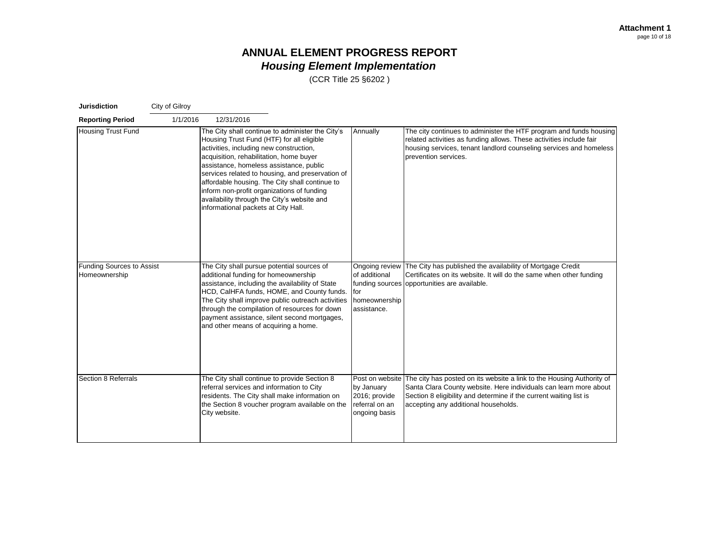| <b>Jurisdiction</b>                        | City of Gilroy |                                                                                                                                                                                                                                                                                                                                                                  |                                                                                                                                                 |                                                                |                                                                                                                                                                                                                                                                          |
|--------------------------------------------|----------------|------------------------------------------------------------------------------------------------------------------------------------------------------------------------------------------------------------------------------------------------------------------------------------------------------------------------------------------------------------------|-------------------------------------------------------------------------------------------------------------------------------------------------|----------------------------------------------------------------|--------------------------------------------------------------------------------------------------------------------------------------------------------------------------------------------------------------------------------------------------------------------------|
| <b>Reporting Period</b>                    | 1/1/2016       | 12/31/2016                                                                                                                                                                                                                                                                                                                                                       |                                                                                                                                                 |                                                                |                                                                                                                                                                                                                                                                          |
| <b>Housing Trust Fund</b>                  |                | Housing Trust Fund (HTF) for all eligible<br>activities, including new construction,<br>acquisition, rehabilitation, home buyer<br>assistance, homeless assistance, public<br>affordable housing. The City shall continue to<br>inform non-profit organizations of funding<br>availability through the City's website and<br>informational packets at City Hall. | The City shall continue to administer the City's<br>services related to housing, and preservation of                                            | Annually                                                       | The city continues to administer the HTF program and funds housing<br>related activities as funding allows. These activities include fair<br>housing services, tenant landlord counseling services and homeless<br>prevention services.                                  |
| Funding Sources to Assist<br>Homeownership |                | The City shall pursue potential sources of<br>additional funding for homeownership<br>assistance, including the availability of State<br>through the compilation of resources for down<br>and other means of acquiring a home.                                                                                                                                   | HCD, CalHFA funds, HOME, and County funds.<br>The City shall improve public outreach activities<br>payment assistance, silent second mortgages, | of additional<br>for<br>homeownership<br>assistance.           | Ongoing review The City has published the availability of Mortgage Credit<br>Certificates on its website. It will do the same when other funding<br>funding sources opportunities are available.                                                                         |
| Section 8 Referrals                        |                | The City shall continue to provide Section 8<br>referral services and information to City<br>residents. The City shall make information on<br>City website.                                                                                                                                                                                                      | the Section 8 voucher program available on the                                                                                                  | by January<br>2016; provide<br>referral on an<br>ongoing basis | Post on website The city has posted on its website a link to the Housing Authority of<br>Santa Clara County website. Here individuals can learn more about<br>Section 8 eligibility and determine if the current waiting list is<br>accepting any additional households. |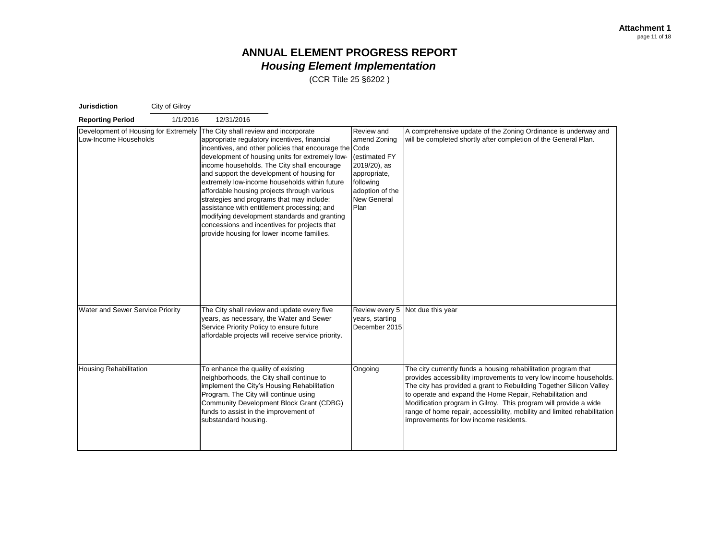| <b>Jurisdiction</b>                                           | City of Gilroy |                                                                                                                                                                                                                                                                                                                                                                              |                                                                                                                                                                                                                                                           |                                                                                                                                           |                                                                                                                                                                                                                                                                                                                                                                                                                                                                    |
|---------------------------------------------------------------|----------------|------------------------------------------------------------------------------------------------------------------------------------------------------------------------------------------------------------------------------------------------------------------------------------------------------------------------------------------------------------------------------|-----------------------------------------------------------------------------------------------------------------------------------------------------------------------------------------------------------------------------------------------------------|-------------------------------------------------------------------------------------------------------------------------------------------|--------------------------------------------------------------------------------------------------------------------------------------------------------------------------------------------------------------------------------------------------------------------------------------------------------------------------------------------------------------------------------------------------------------------------------------------------------------------|
| <b>Reporting Period</b>                                       | 1/1/2016       | 12/31/2016                                                                                                                                                                                                                                                                                                                                                                   |                                                                                                                                                                                                                                                           |                                                                                                                                           |                                                                                                                                                                                                                                                                                                                                                                                                                                                                    |
| Development of Housing for Extremely<br>Low-Income Households |                | The City shall review and incorporate<br>appropriate regulatory incentives, financial<br>and support the development of housing for<br>affordable housing projects through various<br>strategies and programs that may include:<br>assistance with entitlement processing; and<br>concessions and incentives for projects that<br>provide housing for lower income families. | incentives, and other policies that encourage the Code<br>development of housing units for extremely low-<br>income households. The City shall encourage<br>extremely low-income households within future<br>modifying development standards and granting | Review and<br>amend Zoning<br>(estimated FY<br>2019/20), as<br>appropriate,<br>following<br>adoption of the<br><b>New General</b><br>Plan | A comprehensive update of the Zoning Ordinance is underway and<br>will be completed shortly after completion of the General Plan.                                                                                                                                                                                                                                                                                                                                  |
| Water and Sewer Service Priority                              |                | The City shall review and update every five<br>years, as necessary, the Water and Sewer<br>Service Priority Policy to ensure future                                                                                                                                                                                                                                          | affordable projects will receive service priority.                                                                                                                                                                                                        | years, starting<br>December 2015                                                                                                          | Review every 5 Not due this year                                                                                                                                                                                                                                                                                                                                                                                                                                   |
| <b>Housing Rehabilitation</b>                                 |                | To enhance the quality of existing<br>neighborhoods, the City shall continue to<br>implement the City's Housing Rehabilitation<br>Program. The City will continue using<br>funds to assist in the improvement of<br>substandard housing.                                                                                                                                     | Community Development Block Grant (CDBG)                                                                                                                                                                                                                  | Ongoing                                                                                                                                   | The city currently funds a housing rehabilitation program that<br>provides accessibility improvements to very low income households.<br>The city has provided a grant to Rebuilding Together Silicon Valley<br>to operate and expand the Home Repair, Rehabilitation and<br>Modification program in Gilroy. This program will provide a wide<br>range of home repair, accessibility, mobility and limited rehabilitation<br>improvements for low income residents. |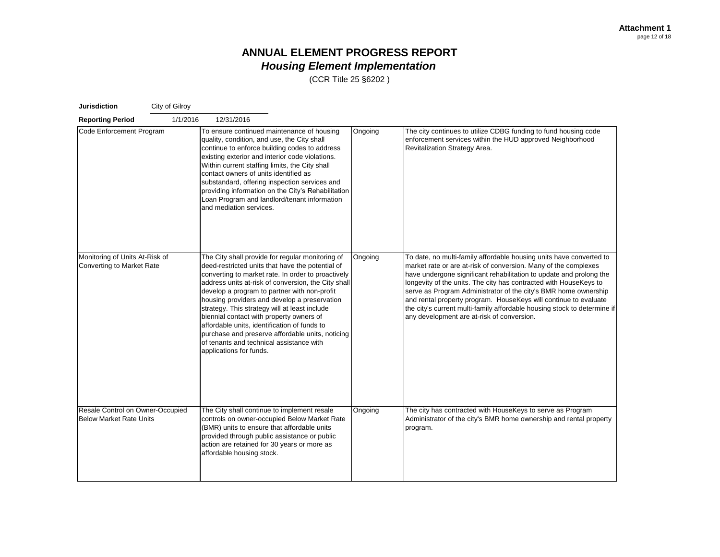| <b>Jurisdiction</b>                                                | City of Gilroy |                                                                                                                                                                                                                                                                                                                                                                                                                                                                                                                                                                                           |         |                                                                                                                                                                                                                                                                                                                                                                                                                                                                                                                                                     |
|--------------------------------------------------------------------|----------------|-------------------------------------------------------------------------------------------------------------------------------------------------------------------------------------------------------------------------------------------------------------------------------------------------------------------------------------------------------------------------------------------------------------------------------------------------------------------------------------------------------------------------------------------------------------------------------------------|---------|-----------------------------------------------------------------------------------------------------------------------------------------------------------------------------------------------------------------------------------------------------------------------------------------------------------------------------------------------------------------------------------------------------------------------------------------------------------------------------------------------------------------------------------------------------|
| <b>Reporting Period</b>                                            | 1/1/2016       | 12/31/2016                                                                                                                                                                                                                                                                                                                                                                                                                                                                                                                                                                                |         |                                                                                                                                                                                                                                                                                                                                                                                                                                                                                                                                                     |
| Code Enforcement Program                                           |                | To ensure continued maintenance of housing<br>quality, condition, and use, the City shall<br>continue to enforce building codes to address<br>existing exterior and interior code violations.<br>Within current staffing limits, the City shall<br>contact owners of units identified as<br>substandard, offering inspection services and<br>providing information on the City's Rehabilitation<br>Loan Program and landlord/tenant information<br>and mediation services.                                                                                                                | Ongoing | The city continues to utilize CDBG funding to fund housing code<br>enforcement services within the HUD approved Neighborhood<br>Revitalization Strategy Area.                                                                                                                                                                                                                                                                                                                                                                                       |
| Monitoring of Units At-Risk of<br><b>Converting to Market Rate</b> |                | The City shall provide for regular monitoring of<br>deed-restricted units that have the potential of<br>converting to market rate. In order to proactively<br>address units at-risk of conversion, the City shall<br>develop a program to partner with non-profit<br>housing providers and develop a preservation<br>strategy. This strategy will at least include<br>biennial contact with property owners of<br>affordable units, identification of funds to<br>purchase and preserve affordable units, noticing<br>of tenants and technical assistance with<br>applications for funds. | Ongoing | To date, no multi-family affordable housing units have converted to<br>market rate or are at-risk of conversion. Many of the complexes<br>have undergone significant rehabilitation to update and prolong the<br>longevity of the units. The city has contracted with HouseKeys to<br>serve as Program Administrator of the city's BMR home ownership<br>and rental property program. HouseKeys will continue to evaluate<br>the city's current multi-family affordable housing stock to determine if<br>any development are at-risk of conversion. |
| Resale Control on Owner-Occupied<br><b>Below Market Rate Units</b> |                | The City shall continue to implement resale<br>controls on owner-occupied Below Market Rate<br>(BMR) units to ensure that affordable units<br>provided through public assistance or public<br>action are retained for 30 years or more as<br>affordable housing stock.                                                                                                                                                                                                                                                                                                                    | Ongoing | The city has contracted with HouseKeys to serve as Program<br>Administrator of the city's BMR home ownership and rental property<br>program.                                                                                                                                                                                                                                                                                                                                                                                                        |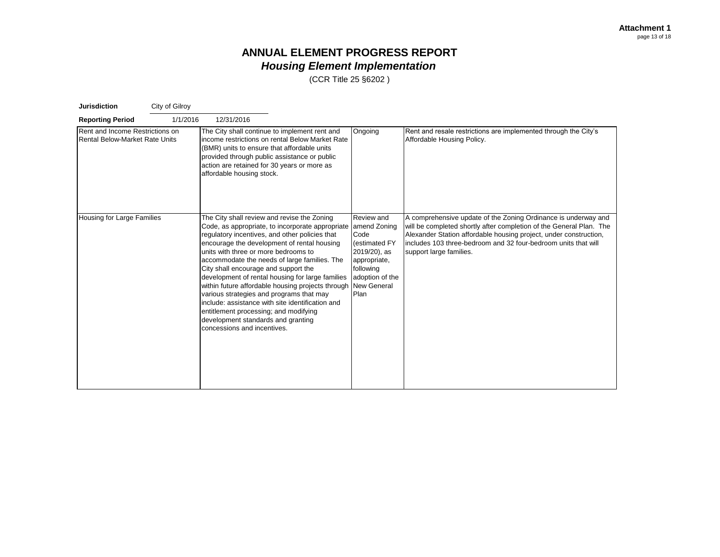| <b>Jurisdiction</b>                                               | City of Gilroy |                                                                                                                                                                                                                                                                                                                                                                                                                                            |                                                                                                                                                                                                                                    |                                                                                                             |                                                                                                                                                                                                                                                                                                         |
|-------------------------------------------------------------------|----------------|--------------------------------------------------------------------------------------------------------------------------------------------------------------------------------------------------------------------------------------------------------------------------------------------------------------------------------------------------------------------------------------------------------------------------------------------|------------------------------------------------------------------------------------------------------------------------------------------------------------------------------------------------------------------------------------|-------------------------------------------------------------------------------------------------------------|---------------------------------------------------------------------------------------------------------------------------------------------------------------------------------------------------------------------------------------------------------------------------------------------------------|
| <b>Reporting Period</b>                                           | 1/1/2016       | 12/31/2016                                                                                                                                                                                                                                                                                                                                                                                                                                 |                                                                                                                                                                                                                                    |                                                                                                             |                                                                                                                                                                                                                                                                                                         |
| Rent and Income Restrictions on<br>Rental Below-Market Rate Units |                | The City shall continue to implement rent and<br>(BMR) units to ensure that affordable units<br>provided through public assistance or public<br>action are retained for 30 years or more as<br>affordable housing stock.                                                                                                                                                                                                                   | income restrictions on rental Below Market Rate                                                                                                                                                                                    | Ongoing                                                                                                     | Rent and resale restrictions are implemented through the City's<br>Affordable Housing Policy.                                                                                                                                                                                                           |
| Housing for Large Families                                        |                | The City shall review and revise the Zoning<br>regulatory incentives, and other policies that<br>encourage the development of rental housing<br>units with three or more bedrooms to<br>City shall encourage and support the<br>various strategies and programs that may<br>include: assistance with site identification and<br>entitlement processing; and modifying<br>development standards and granting<br>concessions and incentives. | Code, as appropriate, to incorporate appropriate amend Zoning<br>accommodate the needs of large families. The<br>development of rental housing for large families<br>within future affordable housing projects through New General | Review and<br>Code<br>(estimated FY<br>2019/20), as<br>appropriate,<br>following<br>adoption of the<br>Plan | A comprehensive update of the Zoning Ordinance is underway and<br>will be completed shortly after completion of the General Plan. The<br>Alexander Station affordable housing project, under construction,<br>includes 103 three-bedroom and 32 four-bedroom units that will<br>support large families. |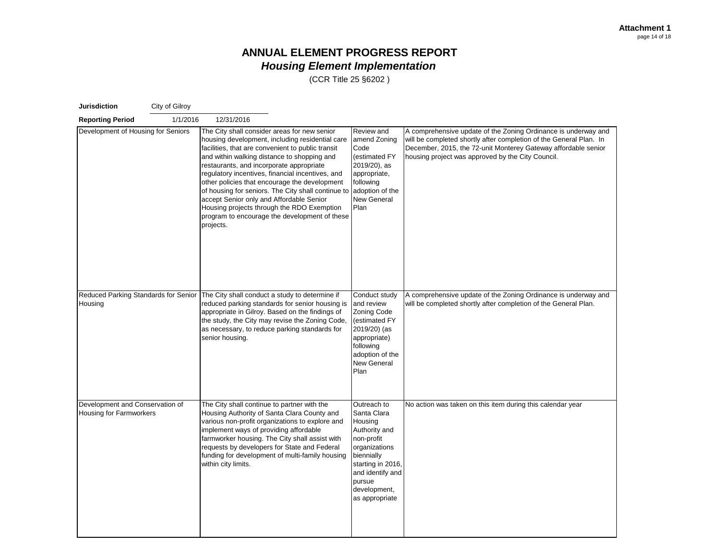| <b>Jurisdiction</b>                                        | City of Gilroy |                                                                                                                                                                                                                                                                                                                                                                                                                                                                                                                                                                    |                                                                                                                                                                                          |                                                                                                                                                                                                                                                             |
|------------------------------------------------------------|----------------|--------------------------------------------------------------------------------------------------------------------------------------------------------------------------------------------------------------------------------------------------------------------------------------------------------------------------------------------------------------------------------------------------------------------------------------------------------------------------------------------------------------------------------------------------------------------|------------------------------------------------------------------------------------------------------------------------------------------------------------------------------------------|-------------------------------------------------------------------------------------------------------------------------------------------------------------------------------------------------------------------------------------------------------------|
| <b>Reporting Period</b>                                    | 1/1/2016       | 12/31/2016                                                                                                                                                                                                                                                                                                                                                                                                                                                                                                                                                         |                                                                                                                                                                                          |                                                                                                                                                                                                                                                             |
| Development of Housing for Seniors                         |                | The City shall consider areas for new senior<br>housing development, including residential care<br>facilities, that are convenient to public transit<br>and within walking distance to shopping and<br>restaurants, and incorporate appropriate<br>regulatory incentives, financial incentives, and<br>other policies that encourage the development<br>of housing for seniors. The City shall continue to<br>accept Senior only and Affordable Senior<br>Housing projects through the RDO Exemption<br>program to encourage the development of these<br>projects. | Review and<br>amend Zoning<br>Code<br>(estimated FY<br>2019/20), as<br>appropriate,<br>following<br>adoption of the<br>New General<br>Plan                                               | A comprehensive update of the Zoning Ordinance is underway and<br>will be completed shortly after completion of the General Plan. In<br>December, 2015, the 72-unit Monterey Gateway affordable senior<br>housing project was approved by the City Council. |
| Reduced Parking Standards for Senior<br>Housing            |                | The City shall conduct a study to determine if<br>reduced parking standards for senior housing is<br>appropriate in Gilroy. Based on the findings of<br>the study, the City may revise the Zoning Code,<br>as necessary, to reduce parking standards for<br>senior housing.                                                                                                                                                                                                                                                                                        | Conduct study<br>and review<br>Zoning Code<br>(estimated FY<br>2019/20) (as<br>appropriate)<br>following<br>adoption of the<br>New General<br>Plan                                       | A comprehensive update of the Zoning Ordinance is underway and<br>will be completed shortly after completion of the General Plan.                                                                                                                           |
| Development and Conservation of<br>Housing for Farmworkers |                | The City shall continue to partner with the<br>Housing Authority of Santa Clara County and<br>various non-profit organizations to explore and<br>implement ways of providing affordable<br>farmworker housing. The City shall assist with<br>requests by developers for State and Federal<br>funding for development of multi-family housing<br>within city limits.                                                                                                                                                                                                | Outreach to<br>Santa Clara<br>Housing<br>Authority and<br>non-profit<br>organizations<br>biennially<br>starting in 2016,<br>and identify and<br>pursue<br>development,<br>as appropriate | No action was taken on this item during this calendar year                                                                                                                                                                                                  |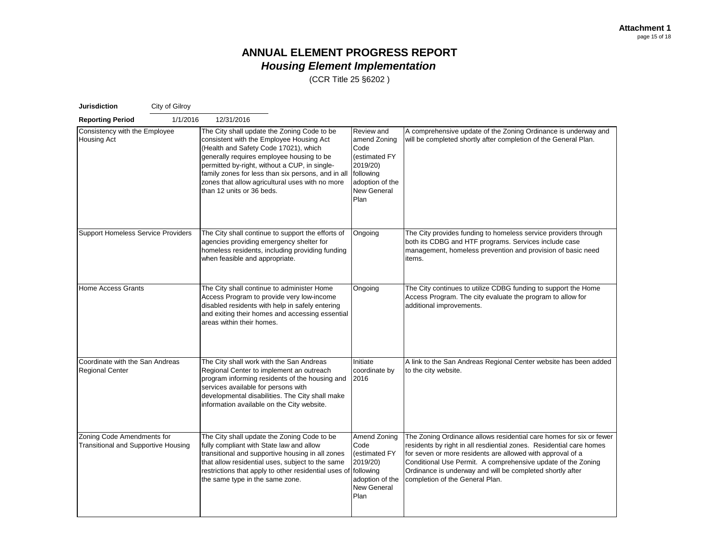| <b>Jurisdiction</b>                                                      | City of Gilroy |                                                                                                                                                                                                                                                                                                                                                                      |                                                                                                                               |                                                                                                                                                                                                                                                                                                                                                                          |
|--------------------------------------------------------------------------|----------------|----------------------------------------------------------------------------------------------------------------------------------------------------------------------------------------------------------------------------------------------------------------------------------------------------------------------------------------------------------------------|-------------------------------------------------------------------------------------------------------------------------------|--------------------------------------------------------------------------------------------------------------------------------------------------------------------------------------------------------------------------------------------------------------------------------------------------------------------------------------------------------------------------|
| <b>Reporting Period</b>                                                  | 1/1/2016       | 12/31/2016                                                                                                                                                                                                                                                                                                                                                           |                                                                                                                               |                                                                                                                                                                                                                                                                                                                                                                          |
| Consistency with the Employee<br>Housing Act                             |                | The City shall update the Zoning Code to be<br>consistent with the Employee Housing Act<br>(Health and Safety Code 17021), which<br>generally requires employee housing to be<br>permitted by-right, without a CUP, in single-<br>family zones for less than six persons, and in all<br>zones that allow agricultural uses with no more<br>than 12 units or 36 beds. | Review and<br>amend Zoning<br>Code<br>(estimated FY<br>2019/20)<br>following<br>adoption of the<br><b>New General</b><br>Plan | A comprehensive update of the Zoning Ordinance is underway and<br>will be completed shortly after completion of the General Plan.                                                                                                                                                                                                                                        |
| <b>Support Homeless Service Providers</b>                                |                | The City shall continue to support the efforts of<br>agencies providing emergency shelter for<br>homeless residents, including providing funding<br>when feasible and appropriate.                                                                                                                                                                                   | Ongoing                                                                                                                       | The City provides funding to homeless service providers through<br>both its CDBG and HTF programs. Services include case<br>management, homeless prevention and provision of basic need<br>items.                                                                                                                                                                        |
| <b>Home Access Grants</b>                                                |                | The City shall continue to administer Home<br>Access Program to provide very low-income<br>disabled residents with help in safely entering<br>and exiting their homes and accessing essential<br>areas within their homes.                                                                                                                                           | Ongoing                                                                                                                       | The City continues to utilize CDBG funding to support the Home<br>Access Program. The city evaluate the program to allow for<br>additional improvements.                                                                                                                                                                                                                 |
| Coordinate with the San Andreas<br><b>Regional Center</b>                |                | The City shall work with the San Andreas<br>Regional Center to implement an outreach<br>program informing residents of the housing and<br>services available for persons with<br>developmental disabilities. The City shall make<br>information available on the City website.                                                                                       | Initiate<br>coordinate by<br>2016                                                                                             | A link to the San Andreas Regional Center website has been added<br>to the city website.                                                                                                                                                                                                                                                                                 |
| Zoning Code Amendments for<br><b>Transitional and Supportive Housing</b> |                | The City shall update the Zoning Code to be<br>fully compliant with State law and allow<br>transitional and supportive housing in all zones<br>that allow residential uses, subject to the same<br>restrictions that apply to other residential uses of following<br>the same type in the same zone.                                                                 | Amend Zoning<br>Code<br>(estimated FY<br>2019/20)<br>adoption of the<br>New General<br>Plan                                   | The Zoning Ordinance allows residential care homes for six or fewer<br>residents by right in all resdiential zones. Residential care homes<br>for seven or more residents are allowed with approval of a<br>Conditional Use Permit. A comprehensive update of the Zoning<br>Ordinance is underway and will be completed shortly after<br>completion of the General Plan. |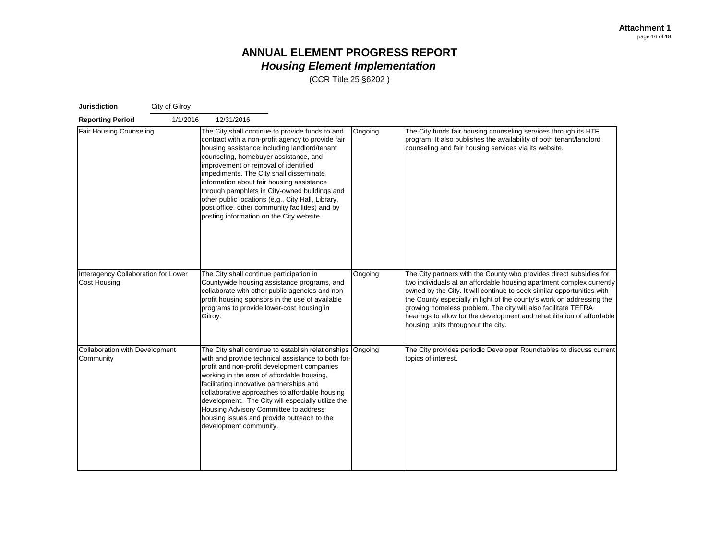| <b>Jurisdiction</b>                                        | City of Gilroy |                                                                                                                                                                                                                                                                                                                                                                                                                                                                                                                                    |         |                                                                                                                                                                                                                                                                                                                                                                                                                                                                                 |
|------------------------------------------------------------|----------------|------------------------------------------------------------------------------------------------------------------------------------------------------------------------------------------------------------------------------------------------------------------------------------------------------------------------------------------------------------------------------------------------------------------------------------------------------------------------------------------------------------------------------------|---------|---------------------------------------------------------------------------------------------------------------------------------------------------------------------------------------------------------------------------------------------------------------------------------------------------------------------------------------------------------------------------------------------------------------------------------------------------------------------------------|
| <b>Reporting Period</b>                                    | 1/1/2016       | 12/31/2016                                                                                                                                                                                                                                                                                                                                                                                                                                                                                                                         |         |                                                                                                                                                                                                                                                                                                                                                                                                                                                                                 |
| Fair Housing Counseling                                    |                | The City shall continue to provide funds to and<br>contract with a non-profit agency to provide fair<br>housing assistance including landlord/tenant<br>counseling, homebuyer assistance, and<br>improvement or removal of identified<br>impediments. The City shall disseminate<br>information about fair housing assistance<br>through pamphlets in City-owned buildings and<br>other public locations (e.g., City Hall, Library,<br>post office, other community facilities) and by<br>posting information on the City website. | Ongoing | The City funds fair housing counseling services through its HTF<br>program. It also publishes the availability of both tenant/landlord<br>counseling and fair housing services via its website.                                                                                                                                                                                                                                                                                 |
| Interagency Collaboration for Lower<br><b>Cost Housing</b> |                | The City shall continue participation in<br>Countywide housing assistance programs, and<br>collaborate with other public agencies and non-<br>profit housing sponsors in the use of available<br>programs to provide lower-cost housing in<br>Gilroy.                                                                                                                                                                                                                                                                              | Ongoing | The City partners with the County who provides direct subsidies for<br>two individuals at an affordable housing apartment complex currently<br>owned by the City. It will continue to seek similar opportunities with<br>the County especially in light of the county's work on addressing the<br>growing homeless problem. The city will also facilitate TEFRA<br>hearings to allow for the development and rehabilitation of affordable<br>housing units throughout the city. |
| Collaboration with Development<br>Community                |                | The City shall continue to establish relationships Ongoing<br>with and provide technical assistance to both for-<br>profit and non-profit development companies<br>working in the area of affordable housing,<br>facilitating innovative partnerships and<br>collaborative approaches to affordable housing<br>development. The City will especially utilize the<br>Housing Advisory Committee to address<br>housing issues and provide outreach to the<br>development community.                                                  |         | The City provides periodic Developer Roundtables to discuss current<br>topics of interest.                                                                                                                                                                                                                                                                                                                                                                                      |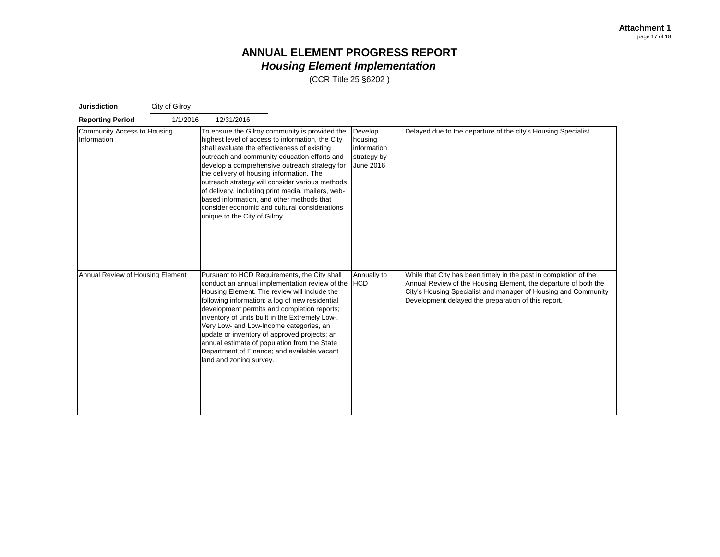| <b>Jurisdiction</b>                        | City of Gilroy |                                                                                                                                                                                                                                                                                                                                                                                                                                                                                                                                        |                                                               |                                                                                                                                                                                                                                                              |
|--------------------------------------------|----------------|----------------------------------------------------------------------------------------------------------------------------------------------------------------------------------------------------------------------------------------------------------------------------------------------------------------------------------------------------------------------------------------------------------------------------------------------------------------------------------------------------------------------------------------|---------------------------------------------------------------|--------------------------------------------------------------------------------------------------------------------------------------------------------------------------------------------------------------------------------------------------------------|
| <b>Reporting Period</b>                    | 1/1/2016       | 12/31/2016                                                                                                                                                                                                                                                                                                                                                                                                                                                                                                                             |                                                               |                                                                                                                                                                                                                                                              |
| Community Access to Housing<br>Information |                | To ensure the Gilroy community is provided the<br>highest level of access to information, the City<br>shall evaluate the effectiveness of existing<br>outreach and community education efforts and<br>develop a comprehensive outreach strategy for<br>the delivery of housing information. The<br>outreach strategy will consider various methods<br>of delivery, including print media, mailers, web-<br>based information, and other methods that<br>consider economic and cultural considerations<br>unique to the City of Gilroy. | Develop<br>housing<br>information<br>strategy by<br>June 2016 | Delayed due to the departure of the city's Housing Specialist.                                                                                                                                                                                               |
| Annual Review of Housing Element           |                | Pursuant to HCD Requirements, the City shall<br>conduct an annual implementation review of the HCD<br>Housing Element. The review will include the<br>following information: a log of new residential<br>development permits and completion reports;<br>inventory of units built in the Extremely Low-,<br>Very Low- and Low-Income categories, an<br>update or inventory of approved projects; an<br>annual estimate of population from the State<br>Department of Finance; and available vacant<br>land and zoning survey.           | Annually to                                                   | While that City has been timely in the past in completion of the<br>Annual Review of the Housing Element, the departure of both the<br>City's Housing Specialist and manager of Housing and Community<br>Development delayed the preparation of this report. |